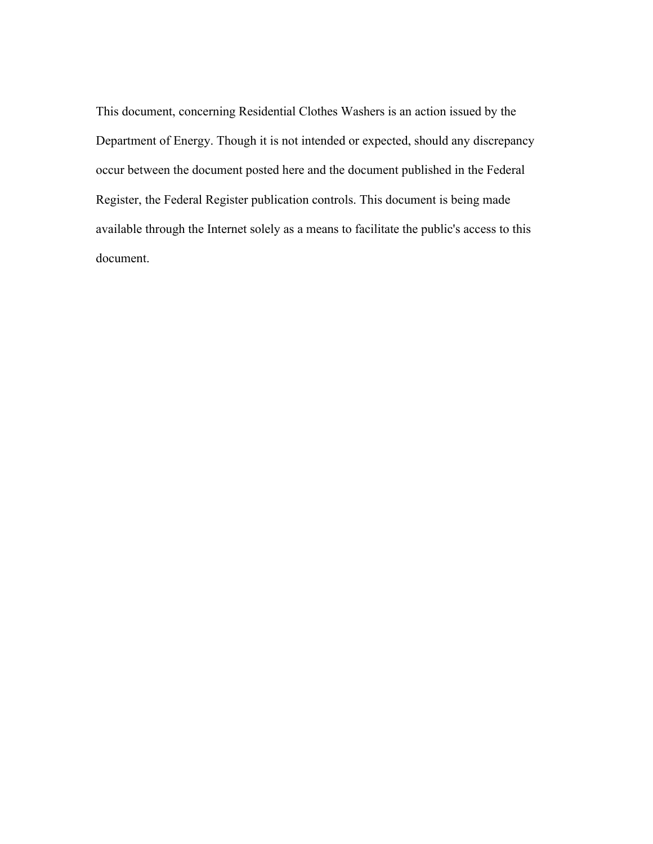This document, concerning Residential Clothes Washers is an action issued by the Department of Energy. Though it is not intended or expected, should any discrepancy occur between the document posted here and the document published in the Federal Register, the Federal Register publication controls. This document is being made available through the Internet solely as a means to facilitate the public's access to this document.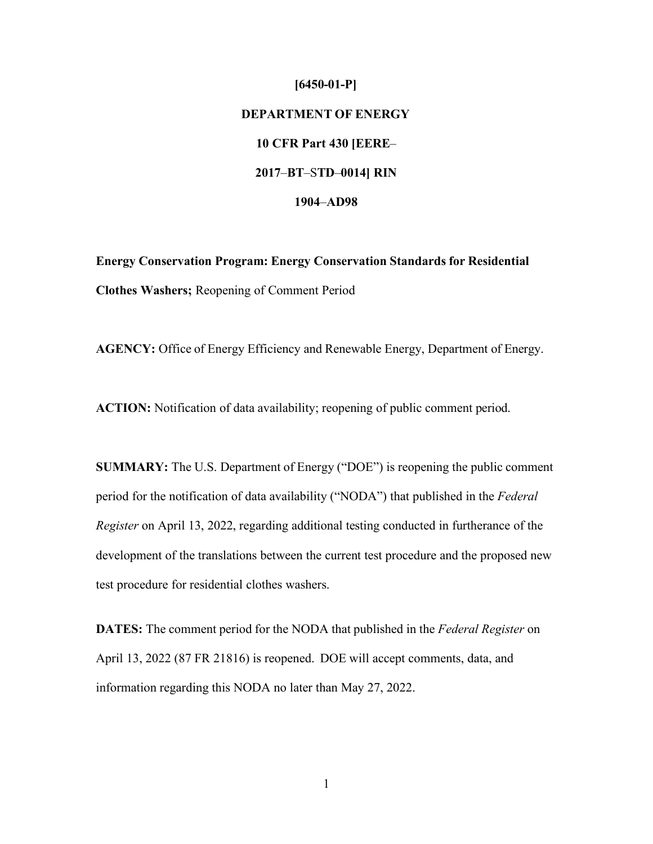## **[6450-01-P] DEPARTMENT OF ENERGY 10 CFR Part 430 [EERE**– **2017**–**BT**–S**TD**–**0014] RIN 1904**–**AD98**

**Energy Conservation Program: Energy Conservation Standards for Residential Clothes Washers;** Reopening of Comment Period

**AGENCY:** Office of Energy Efficiency and Renewable Energy, Department of Energy.

**ACTION:** Notification of data availability; reopening of public comment period.

**SUMMARY:** The U.S. Department of Energy ("DOE") is reopening the public comment period for the notification of data availability ("NODA") that published in the *Federal Register* on April 13, 2022, regarding additional testing conducted in furtherance of the development of the translations between the current test procedure and the proposed new test procedure for residential clothes washers.

**DATES:** The comment period for the NODA that published in the *Federal Register* on April 13, 2022 (87 FR 21816) is reopened. DOE will accept comments, data, and information regarding this NODA no later than May 27, 2022.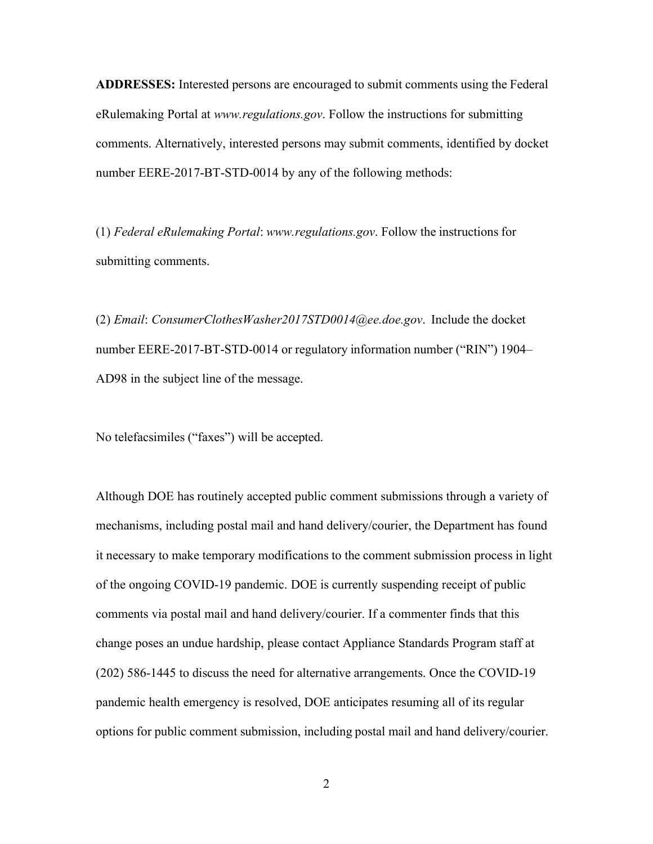**ADDRESSES:** Interested persons are encouraged to submit comments using the Federal eRulemaking Portal at *[www.regulations.gov](http://www.regulations.gov/)*. Follow the instructions for submitting comments. Alternatively, interested persons may submit comments, identified by docket number EERE-2017-BT-STD-0014 by any of the following methods:

(1) *Federal eRulemaking Portal*: *[www.regulations.gov](http://www.regulations.gov/)*. Follow the instructions for submitting comments.

(2) *Email*: *[ConsumerClothesWasher2017STD0014@ee.doe.gov](mailto:ConsumerClothesWasher2017STD0014@ee.doe.gov)*. Include the docket number EERE-2017-BT-STD-0014 or regulatory information number ("RIN") 1904– AD98 in the subject line of the message.

No telefacsimiles ("faxes") will be accepted.

Although DOE has routinely accepted public comment submissions through a variety of mechanisms, including postal mail and hand delivery/courier, the Department has found it necessary to make temporary modifications to the comment submission process in light of the ongoing COVID-19 pandemic. DOE is currently suspending receipt of public comments via postal mail and hand delivery/courier. If a commenter finds that this change poses an undue hardship, please contact Appliance Standards Program staff at (202) 586-1445 to discuss the need for alternative arrangements. Once the COVID-19 pandemic health emergency is resolved, DOE anticipates resuming all of its regular options for public comment submission, including postal mail and hand delivery/courier.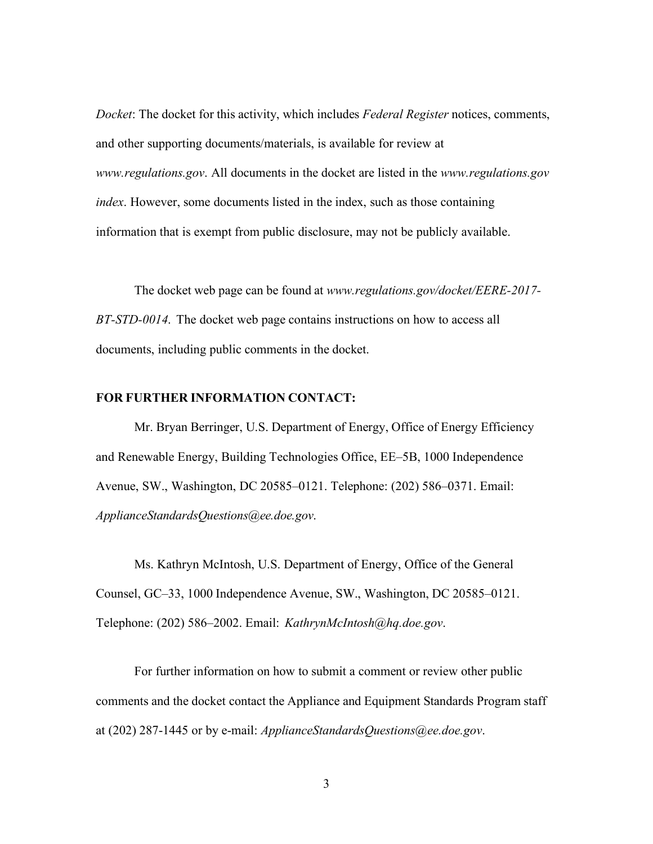*Docket*: The docket for this activity, which includes *Federal Register* notices, comments, and other supporting documents/materials, is available for review at *[www.regulations.gov](http://www.regulations.gov/)*. All documents in the docket are listed in the *[www.regulations.gov](http://www.regulations.gov/) index*. However, some documents listed in the index, such as those containing information that is exempt from public disclosure, may not be publicly available.

The docket web page can be found at *[www.regulations.gov/docket/EERE-2017-](http://www.regulations.gov/docket/EERE-2017-) BT-STD-0014*. The docket web page contains instructions on how to access all documents, including public comments in the docket.

## **FOR FURTHER INFORMATION CONTACT:**

Mr. Bryan Berringer, U.S. Department of Energy, Office of Energy Efficiency and Renewable Energy, Building Technologies Office, EE–5B, 1000 Independence Avenue, SW., Washington, DC 20585–0121. Telephone: (202) 586–0371. Email: *[ApplianceStandardsQuestions@ee.doe.gov](mailto:ApplianceStandardsQuestions@ee.doe.gov)*.

Ms. Kathryn McIntosh, U.S. Department of Energy, Office of the General Counsel, GC–33, 1000 Independence Avenue, SW., Washington, DC 20585–0121. Telephone: (202) 586–2002. Email: *[KathrynMcIntosh@hq.doe.gov](mailto:KathrynMcIntosh@hq.doe.gov)*.

For further information on how to submit a comment or review other public comments and the docket contact the Appliance and Equipment Standards Program staff at (202) 287-1445 or by e-mail: *[ApplianceStandardsQuestions@ee.doe.gov](mailto:ApplianceStandardsQuestions@ee.doe.gov)*.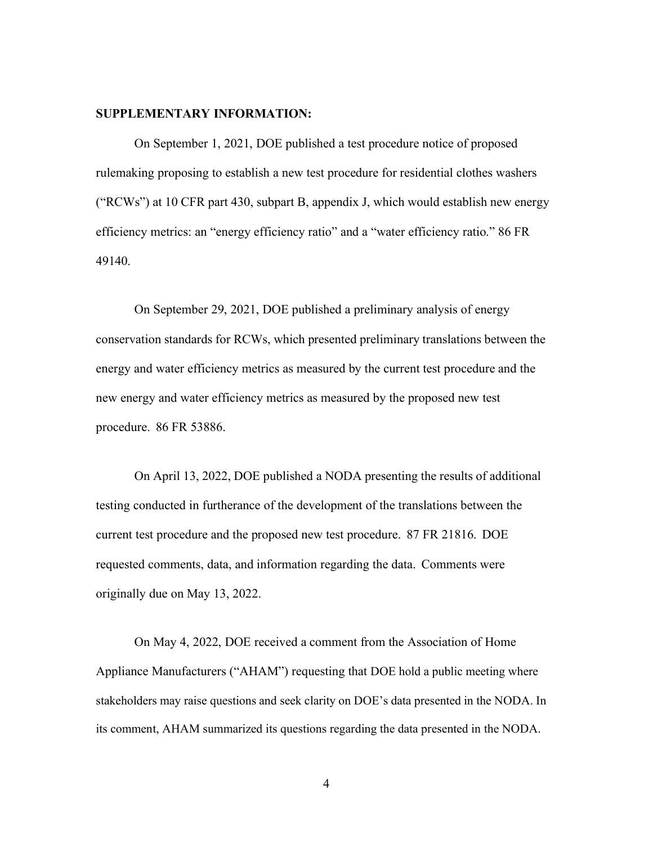## **SUPPLEMENTARY INFORMATION:**

On September 1, 2021, DOE published a test procedure notice of proposed rulemaking proposing to establish a new test procedure for residential clothes washers ("RCWs") at 10 CFR part 430, subpart B, appendix J, which would establish new energy efficiency metrics: an "energy efficiency ratio" and a "water efficiency ratio." 86 FR 49140.

On September 29, 2021, DOE published a preliminary analysis of energy conservation standards for RCWs, which presented preliminary translations between the energy and water efficiency metrics as measured by the current test procedure and the new energy and water efficiency metrics as measured by the proposed new test procedure. 86 FR 53886.

On April 13, 2022, DOE published a NODA presenting the results of additional testing conducted in furtherance of the development of the translations between the current test procedure and the proposed new test procedure. 87 FR 21816. DOE requested comments, data, and information regarding the data. Comments were originally due on May 13, 2022.

On May 4, 2022, DOE received a comment from the Association of Home Appliance Manufacturers ("AHAM") requesting that DOE hold a public meeting where stakeholders may raise questions and seek clarity on DOE's data presented in the NODA. In its comment, AHAM summarized its questions regarding the data presented in the NODA.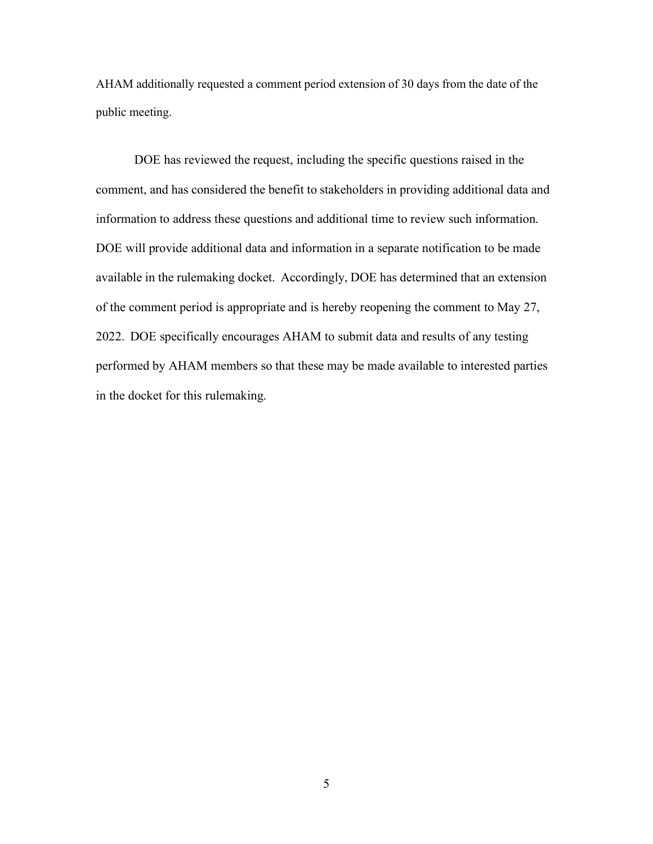AHAM additionally requested a comment period extension of 30 days from the date of the public meeting.

DOE has reviewed the request, including the specific questions raised in the comment, and has considered the benefit to stakeholders in providing additional data and information to address these questions and additional time to review such information. DOE will provide additional data and information in a separate notification to be made available in the rulemaking docket. Accordingly, DOE has determined that an extension of the comment period is appropriate and is hereby reopening the comment to May 27, 2022. DOE specifically encourages AHAM to submit data and results of any testing performed by AHAM members so that these may be made available to interested parties in the docket for this rulemaking.